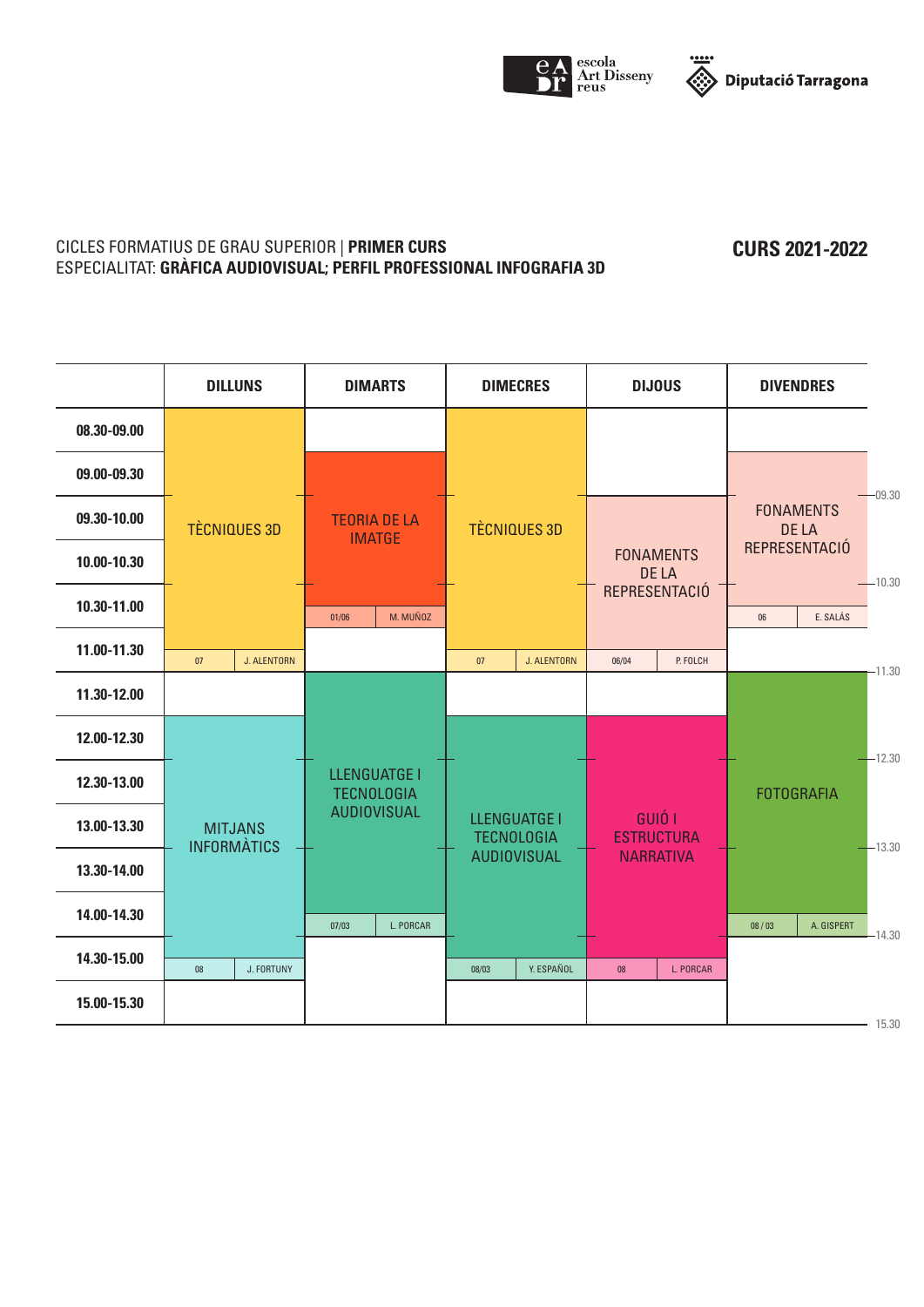



#### CICLES FORMATIUS DE GRAU SUPERIOR | **PRIMER CURS** ESPECIALITAT: **GRÀFICA AUDIOVISUAL; PERFIL PROFESSIONAL INFOGRAFIA 3D**

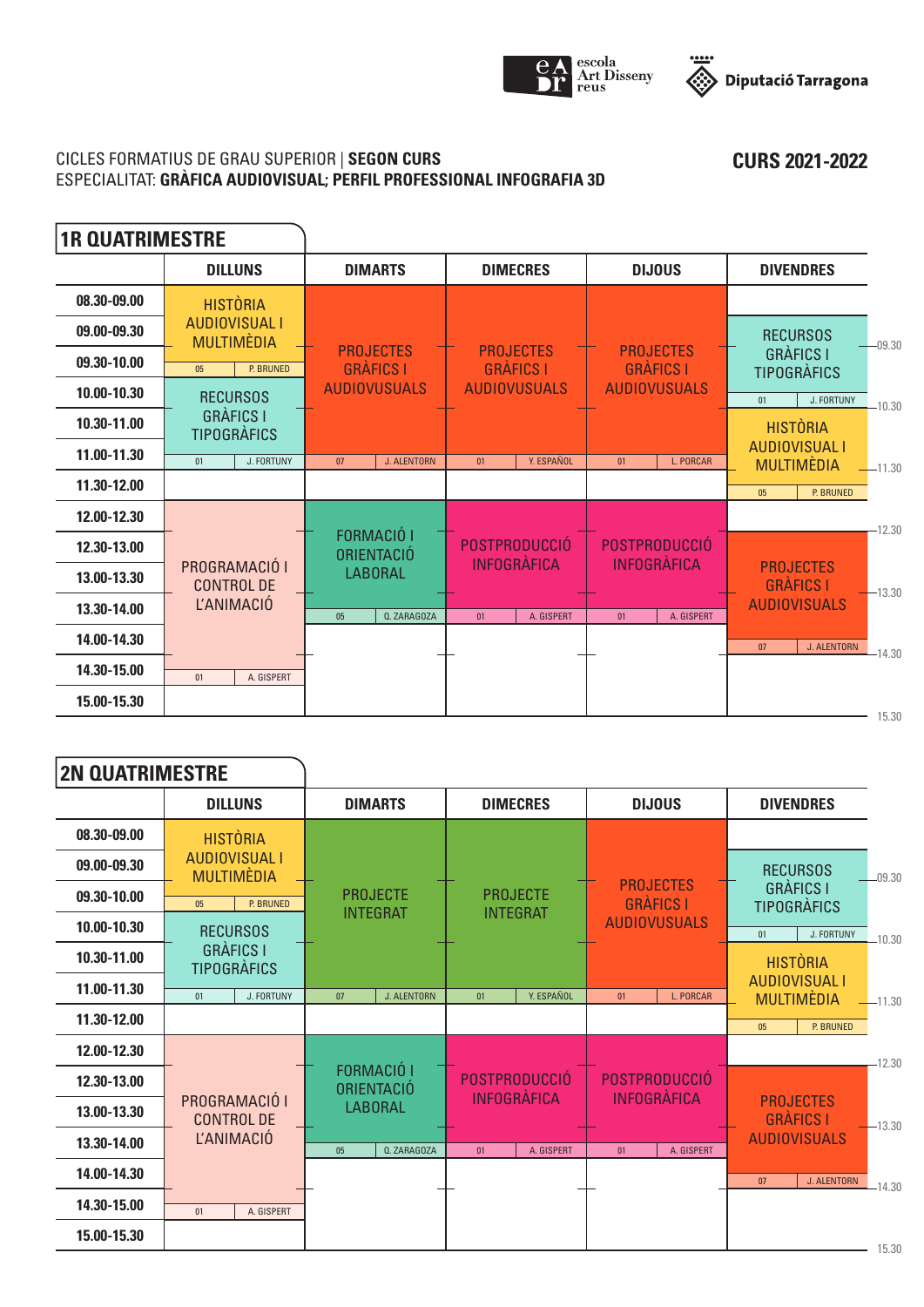



## CICLES FORMATIUS DE GRAU SUPERIOR | **SEGON CURS** ESPECIALITAT: **GRÀFICA AUDIOVISUAL; PERFIL PROFESSIONAL INFOGRAFIA 3D**

| <b>1R QUATRIMESTRE</b> |                                           |                                      |                                      |                                      |                                                       |
|------------------------|-------------------------------------------|--------------------------------------|--------------------------------------|--------------------------------------|-------------------------------------------------------|
|                        | <b>DILLUNS</b>                            | <b>DIMARTS</b>                       | <b>DIMECRES</b>                      | <b>DIJOUS</b>                        | <b>DIVENDRES</b>                                      |
| 08.30-09.00            | <b>HISTÒRIA</b>                           |                                      |                                      |                                      |                                                       |
| 09.00-09.30            | <b>AUDIOVISUAL I</b><br><b>MULTIMÈDIA</b> |                                      |                                      |                                      | <b>RECURSOS</b><br>$-09.30$                           |
| 09.30-10.00            | <b>P. BRUNED</b><br>0 <sub>5</sub>        | <b>PROJECTES</b><br><b>GRÀFICS I</b> | <b>PROJECTES</b><br><b>GRÀFICS I</b> | <b>PROJECTES</b><br><b>GRÀFICS I</b> | <b>GRÀFICS I</b><br><b>TIPOGRÀFICS</b>                |
| 10.00-10.30            | <b>RECURSOS</b>                           | <b>AUDIOVUSUALS</b>                  | <b>AUDIOVUSUALS</b>                  | <b>AUDIOVUSUALS</b>                  | J. FORTUNY<br>01<br>$-10.30$                          |
| 10.30-11.00            | <b>GRÀFICS I</b><br><b>TIPOGRÀFICS</b>    |                                      |                                      |                                      | <b>HISTÒRIA</b>                                       |
| 11.00-11.30            | J. FORTUNY<br>01                          | 07<br><b>J. ALENTORN</b>             | Y. ESPAÑOL<br>01                     | <b>L. PORCAR</b><br>01               | <b>AUDIOVISUAL I</b><br><b>MULTIMÈDIA</b><br>$-11.30$ |
| 11.30-12.00            |                                           |                                      |                                      |                                      | P. BRUNED<br>05                                       |
| 12.00-12.30            |                                           |                                      |                                      |                                      | $-12.30$                                              |
| 12.30-13.00            |                                           | <b>FORMACIÓ I</b><br>ORIENTACIÓ      | <b>POSTPRODUCCIÓ</b>                 | POSTPRODUCCIÓ                        |                                                       |
| 13.00-13.30            | PROGRAMACIÓ I<br><b>CONTROL DE</b>        | <b>LABORAL</b>                       | <b>INFOGRÀFICA</b>                   | <b>INFOGRÀFICA</b>                   | <b>PROJECTES</b><br><b>GRÀFICS I</b><br>$-13.30$      |
| 13.30-14.00            | <b>L'ANIMACIÓ</b>                         | 0 <sub>5</sub><br>Q. ZARAGOZA        | 01<br>A. GISPERT                     | 01<br>A. GISPERT                     | <b>AUDIOVISUALS</b>                                   |
| 14.00-14.30            |                                           |                                      |                                      |                                      | <b>J. ALENTORN</b><br>07<br>$-14.30$                  |
| 14.30-15.00            | A. GISPERT<br>01                          |                                      |                                      |                                      |                                                       |
| 15.00-15.30            |                                           |                                      |                                      |                                      | 15.30                                                 |

| <b>2N QUATRIMESTRE</b> |                                           |                          |                                     |                                            |                                                       |
|------------------------|-------------------------------------------|--------------------------|-------------------------------------|--------------------------------------------|-------------------------------------------------------|
|                        | <b>DILLUNS</b>                            | <b>DIMARTS</b>           | <b>DIMECRES</b>                     | <b>DIJOUS</b>                              | <b>DIVENDRES</b>                                      |
| 08.30-09.00            | <b>HISTÒRIA</b>                           |                          |                                     |                                            |                                                       |
| 09.00-09.30            | <b>AUDIOVISUAL I</b><br><b>MULTIMÈDIA</b> |                          |                                     |                                            | <b>RECURSOS</b><br>$-09.30$                           |
| 09.30-10.00            | P. BRUNED<br>0 <sub>5</sub>               | <b>PROJECTE</b>          | <b>PROJECTE</b>                     | <b>PROJECTES</b><br><b>GRÀFICS I</b>       | <b>GRÀFICS I</b><br><b>TIPOGRÀFICS</b>                |
| 10.00-10.30            | <b>RECURSOS</b>                           | <b>INTEGRAT</b>          | <b>INTEGRAT</b>                     | <b>AUDIOVUSUALS</b>                        | J. FORTUNY<br>01<br>$-10.30$                          |
| 10.30-11.00            | <b>GRÀFICS I</b><br><b>TIPOGRÀFICS</b>    |                          |                                     |                                            | <b>HISTÒRIA</b>                                       |
| 11.00-11.30            | J. FORTUNY<br>01                          | 07<br><b>J. ALENTORN</b> | Y. ESPAÑOL<br>01                    | L. PORCAR<br>01                            | <b>AUDIOVISUAL I</b><br><b>MULTIMÈDIA</b><br>$-11.30$ |
| 11.30-12.00            |                                           |                          |                                     |                                            | P. BRUNED<br>05                                       |
| 12.00-12.30            |                                           |                          |                                     |                                            | 12.30                                                 |
| 12.30-13.00            |                                           | FORMACIÓ I<br>ORIENTACIÓ | POSTPRODUCCIÓ<br><b>INFOGRÀFICA</b> | <b>POSTPRODUCCIÓ</b><br><b>INFOGRÀFICA</b> |                                                       |
| 13.00-13.30            | PROGRAMACIÓ I<br><b>CONTROL DE</b>        | <b>LABORAL</b>           |                                     |                                            | <b>PROJECTES</b><br><b>GRÀFICS I</b><br>$-13.30$      |
| 13.30-14.00            | <b>L'ANIMACIÓ</b>                         | <b>Q. ZARAGOZA</b><br>05 | A. GISPERT<br>01                    | A. GISPERT<br>01                           | <b>AUDIOVISUALS</b>                                   |
| 14.00-14.30            |                                           |                          |                                     |                                            | <b>J. ALENTORN</b><br>07<br>$-14.30$                  |
| 14.30-15.00            | A. GISPERT<br>01                          |                          |                                     |                                            |                                                       |
| 15.00-15.30            |                                           |                          |                                     |                                            | 15.30                                                 |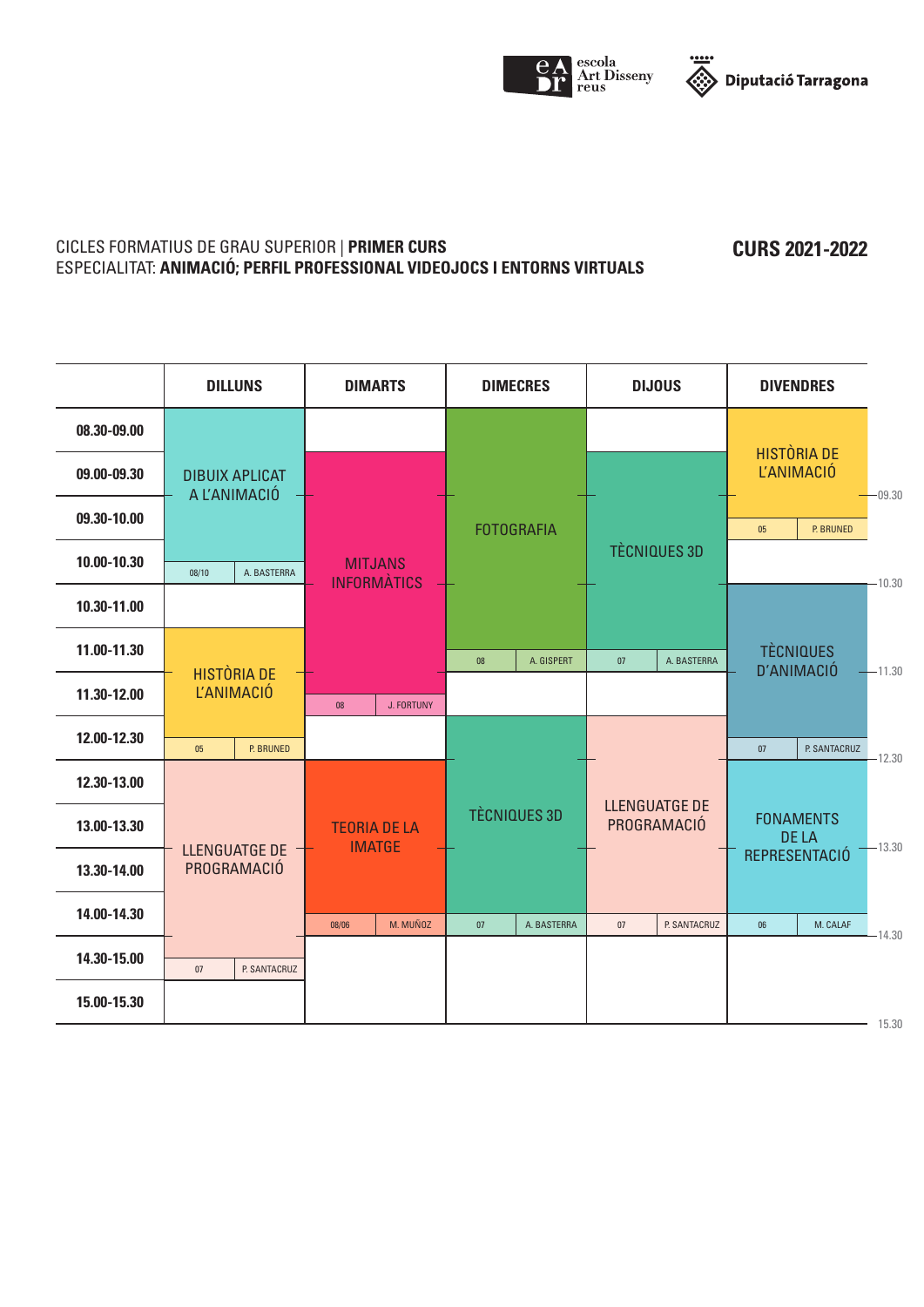



#### CICLES FORMATIUS DE GRAU SUPERIOR | **PRIMER CURS** ESPECIALITAT: **ANIMACIÓ; PERFIL PROFESSIONAL VIDEOJOCS I ENTORNS VIRTUALS**

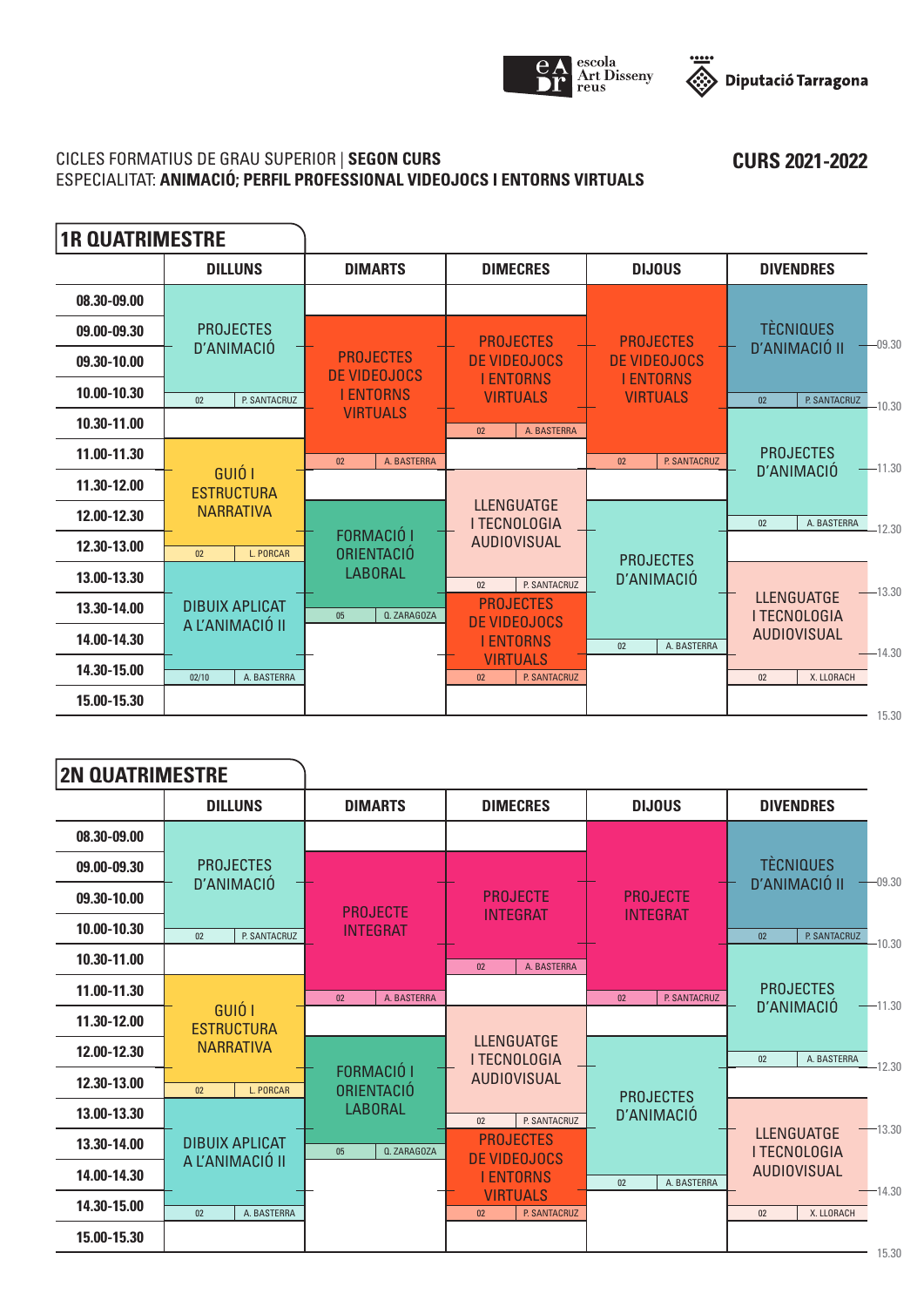



## CICLES FORMATIUS DE GRAU SUPERIOR | **SEGON CURS** ESPECIALITAT: **ANIMACIÓ; PERFIL PROFESSIONAL VIDEOJOCS I ENTORNS VIRTUALS**

 $\blacksquare$ 

| <b>1R QUATRIMESTRE</b> |                                          |                                  |                                          |                                     |                                            |
|------------------------|------------------------------------------|----------------------------------|------------------------------------------|-------------------------------------|--------------------------------------------|
|                        | <b>DILLUNS</b>                           | <b>DIMARTS</b>                   | <b>DIMECRES</b>                          | <b>DIJOUS</b>                       | <b>DIVENDRES</b>                           |
| 08.30-09.00            |                                          |                                  |                                          |                                     |                                            |
| 09.00-09.30            | <b>PROJECTES</b>                         |                                  | <b>PROJECTES</b>                         | <b>PROJECTES</b>                    | <b>TÈCNIQUES</b><br>$-09.30$               |
| 09.30-10.00            | D'ANIMACIÓ                               | <b>PROJECTES</b><br>DE VIDEOJOCS | DE VIDEOJOCS                             | DE VIDEOJOCS                        | <b>D'ANIMACIÓ II</b>                       |
| 10.00-10.30            | P. SANTACRUZ<br>02                       | <b>I ENTORNS</b>                 | <b>I ENTORNS</b><br><b>VIRTUALS</b>      | <b>I ENTORNS</b><br><b>VIRTUALS</b> | 02<br>P. SANTACRUZ<br>$-10.30$             |
| 10.30-11.00            |                                          | <b>VIRTUALS</b>                  | A. BASTERRA<br>02                        |                                     |                                            |
| 11.00-11.30            |                                          | A. BASTERRA<br>02                |                                          | P. SANTACRUZ<br>02                  | <b>PROJECTES</b><br>$-11.30$<br>D'ANIMACIÓ |
| 11.30-12.00            | GUIÓ I<br><b>ESTRUCTURA</b>              |                                  |                                          |                                     |                                            |
| 12.00-12.30            | <b>NARRATIVA</b>                         |                                  | <b>LLENGUATGE</b><br><b>I TECNOLOGIA</b> |                                     | A. BASTERRA<br>02<br>$-12.30$              |
| 12.30-13.00            | L. PORCAR<br>02 <sub>2</sub>             | FORMACIÓ I<br><b>ORIENTACIÓ</b>  | <b>AUDIOVISUAL</b>                       | <b>PROJECTES</b>                    |                                            |
| 13.00-13.30            |                                          | <b>LABORAL</b>                   | P. SANTACRUZ<br>02                       | D'ANIMACIÓ                          | $-13.30$                                   |
| 13.30-14.00            | <b>DIBUIX APLICAT</b><br>A L'ANIMACIÓ II | Q. ZARAGOZA<br>05                | <b>PROJECTES</b><br><b>DE VIDEOJOCS</b>  |                                     | <b>LLENGUATGE</b><br><b>I TECNOLOGIA</b>   |
| 14.00-14.30            |                                          |                                  | <b>I ENTORNS</b>                         | A. BASTERRA<br>02                   | <b>AUDIOVISUAL</b><br>$-14.30$             |
| 14.30-15.00            | A. BASTERRA<br>02/10                     |                                  | <b>VIRTUALS</b><br>P. SANTACRUZ<br>02    |                                     | X. LLORACH<br>02                           |
| 15.00-15.30            |                                          |                                  |                                          |                                     | 15.30                                      |

| <b>2N QUATRIMESTRE</b> |                             |                                 |                                                    |                    |                                            |
|------------------------|-----------------------------|---------------------------------|----------------------------------------------------|--------------------|--------------------------------------------|
|                        | <b>DILLUNS</b>              | <b>DIMARTS</b>                  | <b>DIMECRES</b>                                    | <b>DIJOUS</b>      | <b>DIVENDRES</b>                           |
| 08.30-09.00            |                             |                                 |                                                    |                    |                                            |
| 09.00-09.30            | <b>PROJECTES</b>            |                                 |                                                    |                    | <b>TÈCNIQUES</b><br>$-09.30$               |
| 09.30-10.00            | D'ANIMACIÓ                  | <b>PROJECTE</b>                 | <b>PROJECTE</b>                                    | <b>PROJECTE</b>    | D'ANIMACIÓ II                              |
| 10.00-10.30            | P. SANTACRUZ<br>02          | <b>INTEGRAT</b>                 | <b>INTEGRAT</b>                                    | <b>INTEGRAT</b>    | 02<br>P. SANTACRUZ<br>$-10.30$             |
| 10.30-11.00            |                             |                                 | A. BASTERRA<br>02                                  |                    |                                            |
| 11.00-11.30            |                             | 02<br>A. BASTERRA               |                                                    | P. SANTACRUZ<br>02 | <b>PROJECTES</b><br>$-11.30$               |
| 11.30-12.00            | GUIÓ I<br><b>ESTRUCTURA</b> |                                 |                                                    |                    | D'ANIMACIÓ                                 |
| 12.00-12.30            | <b>NARRATIVA</b>            |                                 | <b>LLENGUATGE</b><br><b>I TECNOLOGIA</b>           |                    | A. BASTERRA<br>02 <sub>2</sub><br>$-12.30$ |
| 12.30-13.00            | L. PORCAR<br>02             | <b>FORMACIÓ I</b><br>ORIENTACIÓ | <b>AUDIOVISUAL</b>                                 | <b>PROJECTES</b>   |                                            |
| 13.00-13.30            |                             | <b>LABORAL</b>                  | P. SANTACRUZ<br>02                                 | D'ANIMACIÓ         | $-13.30$                                   |
| 13.30-14.00            | <b>DIBUIX APLICAT</b>       | 05<br><b>Q. ZARAGOZA</b>        | <b>PROJECTES</b><br>DE VIDEOJOCS                   |                    | <b>LLENGUATGE</b><br><b>I TECNOLOGIA</b>   |
| 14.00-14.30            | A L'ANIMACIÓ II             |                                 | <b>I ENTORNS</b>                                   | A. BASTERRA<br>02  | <b>AUDIOVISUAL</b>                         |
| 14.30-15.00            | 02<br>A. BASTERRA           |                                 | <b>VIRTUALS</b><br>P. SANTACRUZ<br>02 <sub>2</sub> |                    | $-14.30$<br>X. LLORACH<br>02 <sub>2</sub>  |
| 15.00-15.30            |                             |                                 |                                                    |                    | 1 E 20                                     |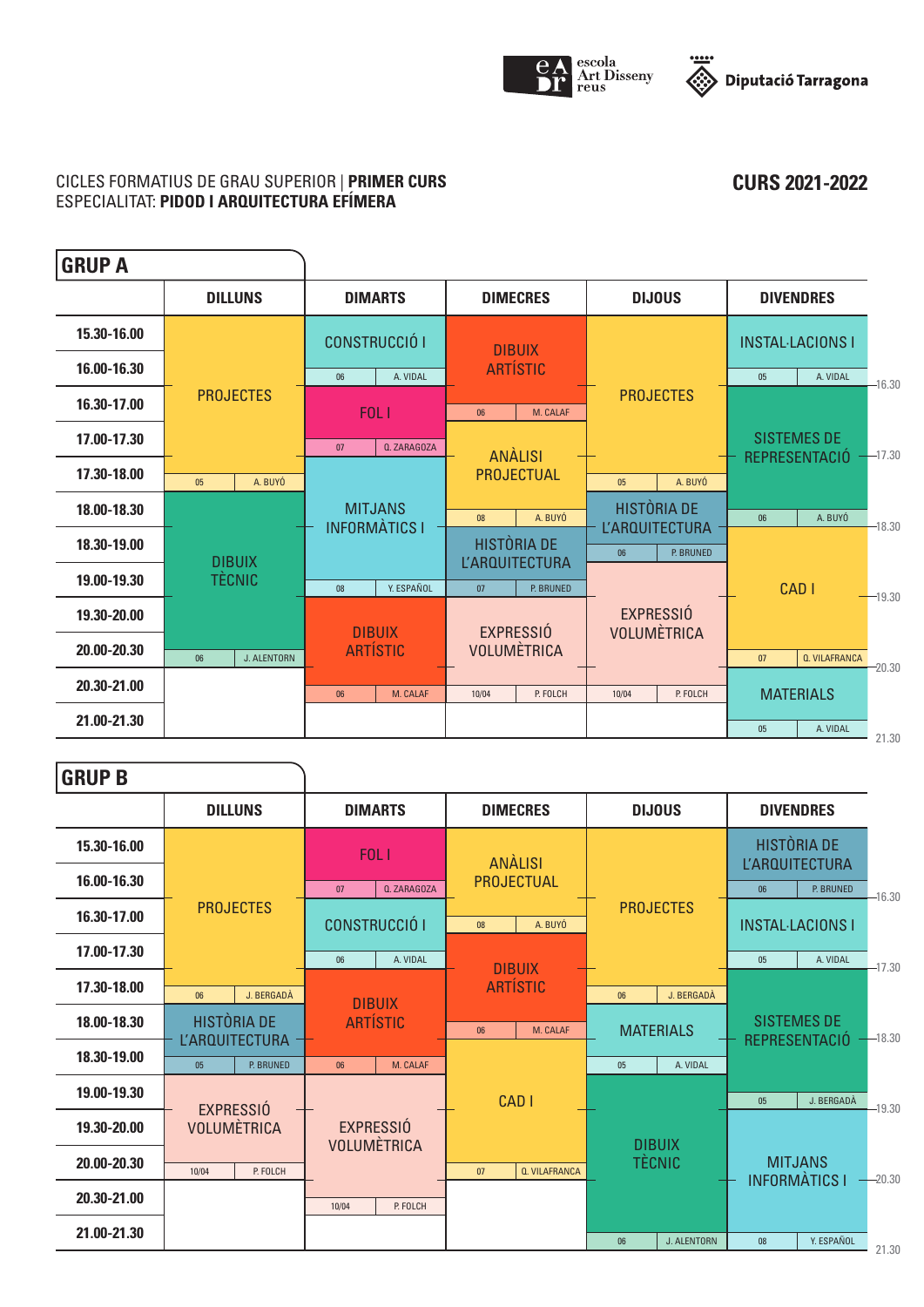



**CURS 2021-2022**

## CICLES FORMATIUS DE GRAU SUPERIOR | **PRIMER CURS** ESPECIALITAT: **PIDOD I ARQUITECTURA EFÍMERA**

| <b>GRUP A</b> |                   |                      |                                        |                                             |                    |                                                         |                                        |                  |                                     |          |
|---------------|-------------------|----------------------|----------------------------------------|---------------------------------------------|--------------------|---------------------------------------------------------|----------------------------------------|------------------|-------------------------------------|----------|
|               | <b>DILLUNS</b>    | <b>DIMARTS</b>       |                                        |                                             | <b>DIMECRES</b>    |                                                         | <b>DIJOUS</b>                          |                  | <b>DIVENDRES</b>                    |          |
| 15.30-16.00   |                   | <b>CONSTRUCCIÓ I</b> |                                        |                                             | <b>DIBUIX</b>      |                                                         |                                        |                  | <b>INSTAL-LACIONS I</b>             |          |
| 16.00-16.30   |                   | 06                   | A. VIDAL                               |                                             | <b>ARTÍSTIC</b>    |                                                         |                                        | 05               | A. VIDAL                            | $-16.30$ |
| 16.30-17.00   | <b>PROJECTES</b>  |                      | FOL <sub>1</sub>                       | 06                                          | M. CALAF           |                                                         | <b>PROJECTES</b>                       |                  |                                     |          |
| 17.00-17.30   |                   | 07                   | <b>Q. ZARAGOZA</b>                     |                                             | <b>ANALISI</b>     |                                                         |                                        |                  | <b>SISTEMES DE</b><br>REPRESENTACIÓ | $-17.30$ |
| 17.30-18.00   | A. BUYÓ<br>05     |                      |                                        |                                             | PROJECTUAL         | 0 <sub>5</sub>                                          | A. BUYÓ                                |                  |                                     |          |
| 18.00-18.30   |                   |                      | <b>MITJANS</b><br><b>INFORMATICS I</b> |                                             | A. BUYÓ            | HISTÒRIA DE<br><b>L'ARQUITECTURA</b><br>P. BRUNED<br>06 |                                        | 06               | A. BUYÓ                             | $-18.30$ |
| 18.30-19.00   | <b>DIBUIX</b>     |                      |                                        | <b>HISTÒRIA DE</b><br><b>L'ARQUITECTURA</b> |                    |                                                         |                                        |                  |                                     |          |
| 19.00-19.30   | <b>TÈCNIC</b>     | 08                   | Y. ESPAÑOL                             | 07                                          | P. BRUNED          |                                                         |                                        | CAD <sub>I</sub> |                                     | $-19.30$ |
| 19.30-20.00   |                   |                      | <b>DIBUIX</b>                          |                                             | <b>EXPRESSIÓ</b>   |                                                         | <b>EXPRESSIÓ</b><br><b>VOLUMÈTRICA</b> |                  |                                     |          |
| 20.00-20.30   | J. ALENTORN<br>06 |                      | <b>ARTÍSTIC</b>                        |                                             | <b>VOLUMÈTRICA</b> |                                                         |                                        | 07               | <b>Q. VILAFRANCA</b>                | $-20.30$ |
| 20.30-21.00   |                   | 06                   | M. CALAF                               | 10/04                                       | P. FOLCH           | 10/04                                                   | P. FOLCH                               | <b>MATERIALS</b> |                                     |          |
| 21.00-21.30   |                   |                      |                                        |                                             |                    |                                                         |                                        | 05               | A. VIDAL                            | 21.30    |

**GRUP B**

| UNVF D      |                                             |                          |                            |                   |                                             |          |
|-------------|---------------------------------------------|--------------------------|----------------------------|-------------------|---------------------------------------------|----------|
|             | <b>DILLUNS</b>                              | <b>DIMARTS</b>           | <b>DIMECRES</b>            | <b>DIJOUS</b>     | <b>DIVENDRES</b>                            |          |
| 15.30-16.00 |                                             | FOL I                    | <b>ANÀLISI</b>             |                   | <b>HISTÒRIA DE</b><br><b>L'ARQUITECTURA</b> |          |
| 16.00-16.30 |                                             | <b>Q. ZARAGOZA</b><br>07 | <b>PROJECTUAL</b>          |                   | P. BRUNED<br>06                             | $-16.30$ |
| 16.30-17.00 | <b>PROJECTES</b>                            | <b>CONSTRUCCIÓ I</b>     | A. BUYÓ<br>08              | <b>PROJECTES</b>  | <b>INSTAL-LACIONS I</b>                     |          |
| 17.00-17.30 |                                             | A. VIDAL<br>06           | <b>DIBUIX</b>              |                   | A. VIDAL<br>05                              | $-17.30$ |
| 17.30-18.00 | J. BERGADÀ<br>06                            | <b>DIBUIX</b>            | <b>ARTÍSTIC</b>            | J. BERGADÀ<br>06  |                                             |          |
| 18.00-18.30 | <b>HISTÒRIA DE</b><br><b>L'ARQUITECTURA</b> | <b>ARTÍSTIC</b>          | M. CALAF<br>06             | <b>MATERIALS</b>  | <b>SISTEMES DE</b><br>REPRESENTACIÓ         | $-18.30$ |
| 18.30-19.00 | P. BRUNED<br>05                             | M. CALAF<br>06           |                            | A. VIDAL<br>05    |                                             |          |
| 19.00-19.30 | <b>EXPRESSIÓ</b>                            |                          | <b>CADI</b>                |                   | J. BERGADÀ<br>05                            | $-19.30$ |
| 19.30-20.00 | <b>VOLUMÈTRICA</b>                          | <b>EXPRESSIÓ</b>         |                            | <b>DIBUIX</b>     |                                             |          |
| 20.00-20.30 | P. FOLCH<br>10/04                           | <b>VOLUMÈTRICA</b>       | <b>Q. VILAFRANCA</b><br>07 | <b>TÈCNIC</b>     | <b>MITJANS</b><br><b>INFORMATICS I</b>      | $-20.30$ |
| 20.30-21.00 |                                             | P. FOLCH<br>10/04        |                            |                   |                                             |          |
| 21.00-21.30 |                                             |                          |                            | J. ALENTORN<br>06 | Y. ESPAÑOL<br>08                            | 21.30    |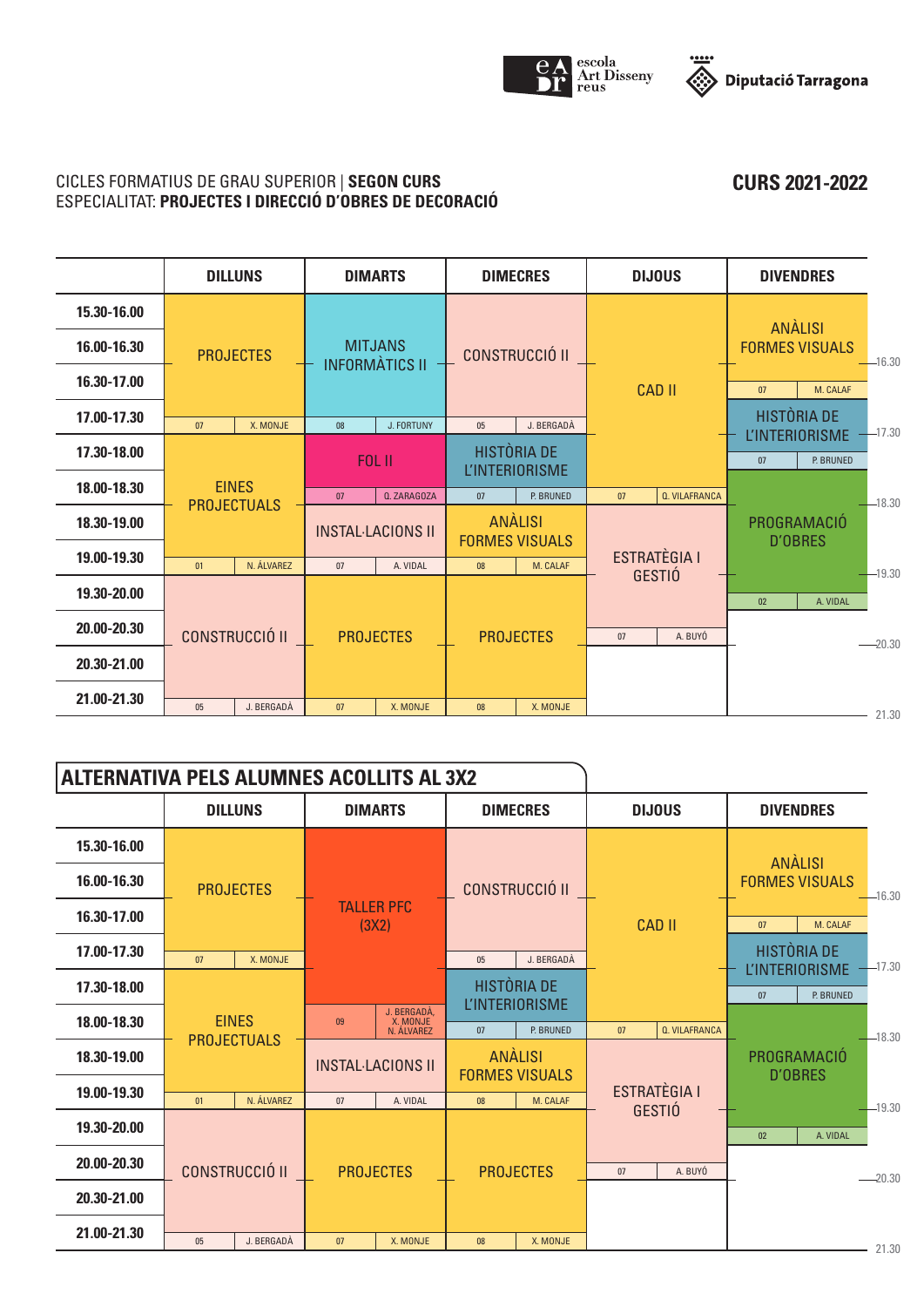



**CURS 2021-2022**

## CICLES FORMATIUS DE GRAU SUPERIOR | **SEGON CURS** ESPECIALITAT: **PROJECTES I DIRECCIÓ D'OBRES DE DECORACIÓ**

|             |                                    | <b>DILLUNS</b>                            |    | <b>DIMARTS</b>        |                          | <b>DIMECRES</b>                             | <b>DIJOUS</b>                           |                      |    | <b>DIVENDRES</b>                        |                                      |
|-------------|------------------------------------|-------------------------------------------|----|-----------------------|--------------------------|---------------------------------------------|-----------------------------------------|----------------------|----|-----------------------------------------|--------------------------------------|
| 15.30-16.00 |                                    |                                           |    |                       |                          |                                             |                                         |                      |    |                                         |                                      |
| 16.00-16.30 |                                    | <b>PROJECTES</b>                          |    | <b>MITJANS</b>        |                          | <b>CONSTRUCCIÓ II</b>                       |                                         |                      |    | <b>ANALISI</b><br><b>FORMES VISUALS</b> | $-16.30$                             |
| 16.30-17.00 |                                    |                                           |    | <b>INFORMATICS II</b> |                          |                                             |                                         | <b>CAD II</b>        | 07 | M. CALAF                                |                                      |
| 17.00-17.30 | 07                                 | X. MONJE                                  | 08 | J. FORTUNY            | 05                       | J. BERGADÀ                                  |                                         |                      |    | HISTÒRIA DE<br><b>L'INTERIORISME</b>    | $-17.30$                             |
| 17.30-18.00 |                                    |                                           |    | <b>FOL II</b>         |                          | <b>HISTÒRIA DE</b><br><b>L'INTERIORISME</b> |                                         |                      | 07 | P. BRUNED                               |                                      |
| 18.00-18.30 | <b>EINES</b><br><b>PROJECTUALS</b> |                                           | 07 | <b>Q. ZARAGOZA</b>    | 07                       | P. BRUNED                                   | 07                                      | <b>Q. VILAFRANCA</b> |    |                                         | $-18.30$                             |
| 18.30-19.00 |                                    |                                           |    |                       | <b>INSTAL-LACIONS II</b> |                                             | <b>ANALISI</b><br><b>FORMES VISUALS</b> |                      |    |                                         | <b>PROGRAMACIO</b><br><b>D'OBRES</b> |
| 19.00-19.30 | 01                                 | N. ÁLVAREZ                                | 07 | A. VIDAL              | 08                       | M. CALAF                                    | <b>ESTRATÈGIA I</b>                     |                      |    |                                         | $-19.30$                             |
| 19.30-20.00 |                                    |                                           |    |                       |                          |                                             | <b>GESTIÓ</b>                           |                      | 02 | A. VIDAL                                |                                      |
| 20.00-20.30 |                                    | <b>CONSTRUCCIÓ II</b><br><b>PROJECTES</b> |    |                       |                          | <b>PROJECTES</b>                            | 07                                      | A. BUYÓ              |    |                                         | $-20.30$                             |
| 20.30-21.00 |                                    |                                           |    |                       |                          |                                             |                                         |                      |    |                                         |                                      |
| 21.00-21.30 | 05                                 | J. BERGADÀ                                | 07 | X. MONJE              | 08                       | X. MONJE                                    |                                         |                      |    |                                         | 21.30                                |

| <b>ALTERNATIVA PELS ALUMNES ACOLLITS AL 3X2</b> |                       |                                    |    |                                       |    |                                             |    |                                      |                                  |                                             |              |
|-------------------------------------------------|-----------------------|------------------------------------|----|---------------------------------------|----|---------------------------------------------|----|--------------------------------------|----------------------------------|---------------------------------------------|--------------|
|                                                 |                       | <b>DILLUNS</b>                     |    | <b>DIMARTS</b>                        |    | <b>DIMECRES</b>                             |    | <b>DIJOUS</b>                        | <b>DIVENDRES</b>                 |                                             |              |
| 15.30-16.00                                     |                       |                                    |    |                                       |    |                                             |    |                                      |                                  |                                             |              |
| 16.00-16.30                                     |                       | <b>PROJECTES</b>                   |    |                                       |    | <b>CONSTRUCCIÓ II</b>                       |    |                                      | ANALISI<br><b>FORMES VISUALS</b> |                                             | $-16.30$     |
| 16.30-17.00                                     |                       |                                    |    | <b>TALLER PFC</b><br>(3X2)            |    |                                             |    | <b>CAD II</b>                        | 07                               | M. CALAF                                    |              |
| 17.00-17.30                                     | 07                    | X. MONJE                           |    |                                       | 05 | J. BERGADÀ                                  |    |                                      |                                  | <b>HISTÒRIA DE</b><br><b>L'INTERIORISME</b> | $-17.30$     |
| 17.30-18.00                                     |                       |                                    |    |                                       |    | <b>HISTÒRIA DE</b><br><b>L'INTERIORISME</b> |    |                                      | 07                               | P. BRUNED                                   |              |
| 18.00-18.30                                     |                       | <b>EINES</b><br><b>PROJECTUALS</b> | 09 | J. BERGADÀ,<br>X. MONJE<br>N. ÁLVAREZ | 07 | P. BRUNED                                   | 07 | <b>Q. VILAFRANCA</b>                 |                                  |                                             | $-18.30$     |
| 18.30-19.00                                     |                       |                                    |    | <b>INSTAL-LACIONS II</b>              |    | <b>ANALISI</b><br><b>FORMES VISUALS</b>     |    | PROGRAMACIÓ<br><b>D'OBRES</b>        |                                  |                                             |              |
| 19.00-19.30                                     | 01                    | N. ÁLVAREZ                         | 07 | A. VIDAL                              | 08 | M. CALAF                                    |    | <b>ESTRATÈGIA I</b><br><b>GESTIÓ</b> |                                  |                                             | $-19.30$     |
| 19.30-20.00                                     |                       |                                    |    |                                       |    |                                             |    |                                      | 02                               | A. VIDAL                                    |              |
| 20.00-20.30                                     | <b>CONSTRUCCIÓ II</b> |                                    |    | <b>PROJECTES</b>                      |    | <b>PROJECTES</b>                            | 07 | A. BUYÓ                              |                                  |                                             | $-20.30$     |
| 20.30-21.00                                     |                       |                                    |    |                                       |    |                                             |    |                                      |                                  |                                             |              |
| 21.00-21.30                                     | 05                    | J. BERGADÀ                         | 07 | X. MONJE                              | 08 | X. MONJE                                    |    |                                      |                                  |                                             | <b>01.00</b> |